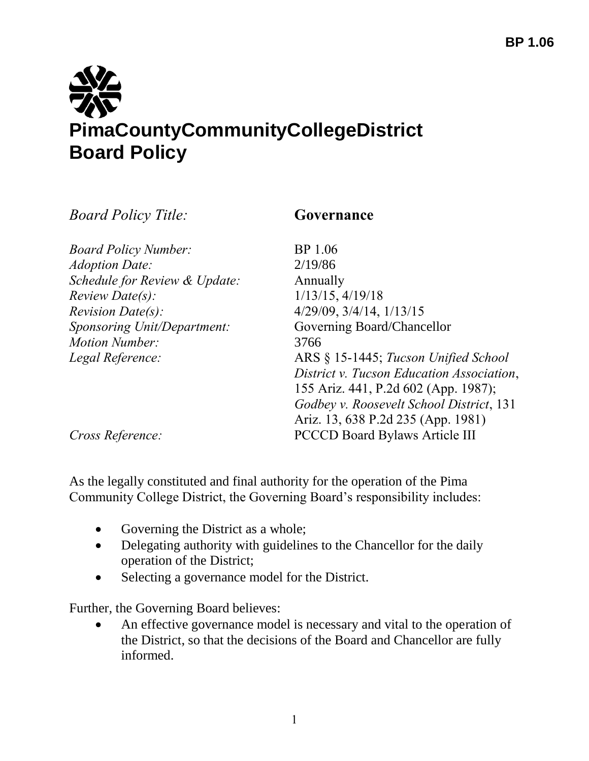## **PimaCountyCommunityCollegeDistrict Board Policy**

*Board Policy Title:* **Governance**

| <b>Board Policy Number:</b>   | BP 1.06                                   |
|-------------------------------|-------------------------------------------|
| <b>Adoption Date:</b>         | 2/19/86                                   |
| Schedule for Review & Update: | Annually                                  |
| $Review \, Date(s)$ :         | $1/13/15$ , $4/19/18$                     |
| <i>Revision Date(s):</i>      | $4/29/09$ , $3/4/14$ , $1/13/15$          |
| Sponsoring Unit/Department:   | Governing Board/Chancellor                |
| <b>Motion Number:</b>         | 3766                                      |
| Legal Reference:              | ARS § 15-1445; Tucson Unified School      |
|                               | District v. Tucson Education Association, |
|                               | 155 Ariz. 441, P.2d 602 (App. 1987);      |
|                               | Godbey v. Roosevelt School District, 131  |
|                               | Ariz. 13, 638 P.2d 235 (App. 1981)        |
|                               |                                           |

*Cross Reference:* PCCCD Board Bylaws Article III

As the legally constituted and final authority for the operation of the Pima Community College District, the Governing Board's responsibility includes:

- Governing the District as a whole;
- Delegating authority with guidelines to the Chancellor for the daily operation of the District;
- Selecting a governance model for the District.

Further, the Governing Board believes:

 An effective governance model is necessary and vital to the operation of the District, so that the decisions of the Board and Chancellor are fully informed.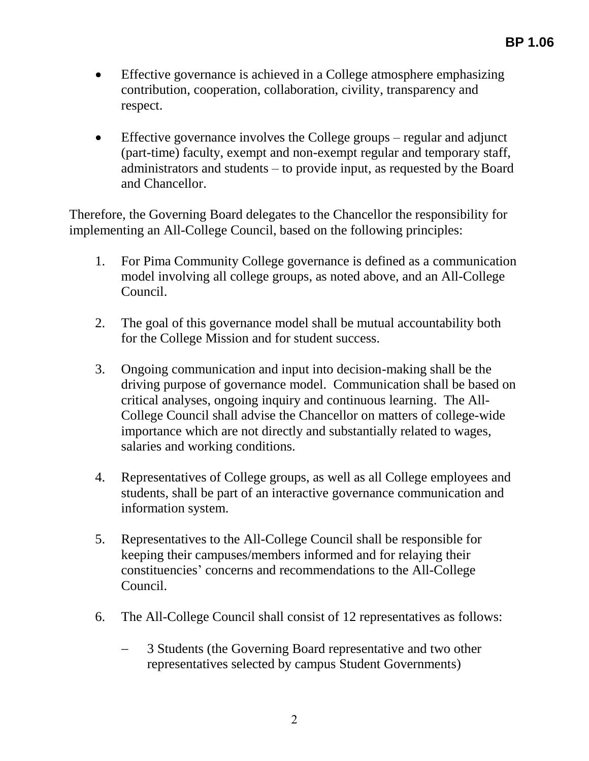- Effective governance is achieved in a College atmosphere emphasizing contribution, cooperation, collaboration, civility, transparency and respect.
- Effective governance involves the College groups regular and adjunct (part-time) faculty, exempt and non-exempt regular and temporary staff, administrators and students – to provide input, as requested by the Board and Chancellor.

Therefore, the Governing Board delegates to the Chancellor the responsibility for implementing an All-College Council, based on the following principles:

- 1. For Pima Community College governance is defined as a communication model involving all college groups, as noted above, and an All-College Council.
- 2. The goal of this governance model shall be mutual accountability both for the College Mission and for student success.
- 3. Ongoing communication and input into decision-making shall be the driving purpose of governance model. Communication shall be based on critical analyses, ongoing inquiry and continuous learning. The All-College Council shall advise the Chancellor on matters of college-wide importance which are not directly and substantially related to wages, salaries and working conditions.
- 4. Representatives of College groups, as well as all College employees and students, shall be part of an interactive governance communication and information system.
- 5. Representatives to the All-College Council shall be responsible for keeping their campuses/members informed and for relaying their constituencies' concerns and recommendations to the All-College Council.
- 6. The All-College Council shall consist of 12 representatives as follows:
	- 3 Students (the Governing Board representative and two other representatives selected by campus Student Governments)